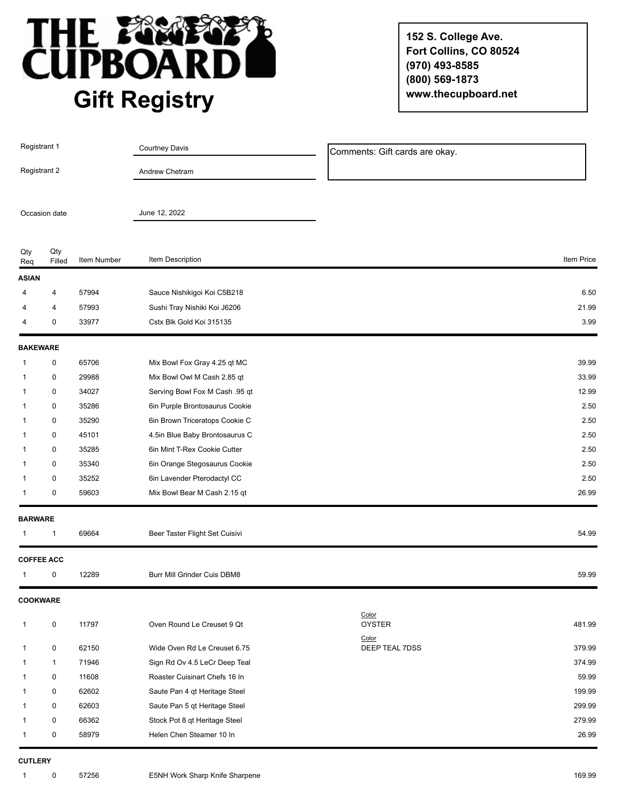

**152 S. College Ave. Fort Collins, CO 80524 (970) 493-8585 (800) 569-1873 www.thecupboard.net**

| Registrant 1<br>Registrant 2<br>Occasion date |               |             | <b>Courtney Davis</b><br>Andrew Chetram<br>June 12, 2022 | Comments: Gift cards are okay. |            |
|-----------------------------------------------|---------------|-------------|----------------------------------------------------------|--------------------------------|------------|
|                                               |               |             |                                                          |                                |            |
|                                               |               |             |                                                          |                                |            |
| Qty<br>Req                                    | Qty<br>Filled | Item Number | Item Description                                         |                                | Item Price |
| <b>ASIAN</b>                                  |               |             |                                                          |                                |            |
| 4                                             | 4             | 57994       | Sauce Nishikigoi Koi C5B218                              |                                | 6.50       |
| 4                                             | 4             | 57993       | Sushi Tray Nishiki Koi J6206                             |                                | 21.99      |
| 4                                             | 0             | 33977       | Cstx Blk Gold Koi 315135                                 |                                | 3.99       |
| <b>BAKEWARE</b>                               |               |             |                                                          |                                |            |
| 1                                             | 0             | 65706       | Mix Bowl Fox Gray 4.25 qt MC                             |                                | 39.99      |
| 1                                             | 0             | 29988       | Mix Bowl Owl M Cash 2.85 qt                              |                                | 33.99      |
| 1                                             | 0             | 34027       | Serving Bowl Fox M Cash .95 qt                           |                                | 12.99      |
| 1                                             | 0             | 35286       | 6in Purple Brontosaurus Cookie                           |                                | 2.50       |
| 1                                             | 0             | 35290       | 6in Brown Triceratops Cookie C                           |                                | 2.50       |
| 1                                             | 0             | 45101       | 4.5in Blue Baby Brontosaurus C                           |                                | 2.50       |
| 1                                             | 0             | 35285       | 6in Mint T-Rex Cookie Cutter                             |                                | 2.50       |
| 1                                             | 0             | 35340       | 6in Orange Stegosaurus Cookie                            |                                | 2.50       |
| 1                                             | 0             | 35252       | 6in Lavender Pterodactyl CC                              |                                | 2.50       |
| 1                                             | 0             | 59603       | Mix Bowl Bear M Cash 2.15 qt                             |                                | 26.99      |
| <b>BARWARE</b>                                |               |             |                                                          |                                |            |
|                                               | 1             | 69664       | Beer Taster Flight Set Cuisivi                           |                                | 54.99      |
| <b>COFFEE ACC</b>                             |               |             |                                                          |                                |            |
|                                               | 0             | 12289       | Burr Mill Grinder Cuis DBM8                              |                                | 59.99      |
| <b>COOKWARE</b>                               |               |             |                                                          |                                |            |
| 1                                             | 0             | 11797       | Oven Round Le Creuset 9 Qt                               | Color<br><b>OYSTER</b>         | 481.99     |
| 1                                             | 0             | 62150       | Wide Oven Rd Le Creuset 6.75                             | Color<br>DEEP TEAL 7DSS        | 379.99     |
| 1                                             | $\mathbf{1}$  | 71946       | Sign Rd Ov 4.5 LeCr Deep Teal                            |                                | 374.99     |
| 1                                             | 0             | 11608       | Roaster Cuisinart Chefs 16 In                            |                                | 59.99      |
| 1                                             | 0             | 62602       | Saute Pan 4 qt Heritage Steel                            |                                | 199.99     |
| 1                                             | 0             | 62603       | Saute Pan 5 qt Heritage Steel                            |                                | 299.99     |
|                                               | 0             | 66362       | Stock Pot 8 qt Heritage Steel                            |                                | 279.99     |
|                                               | 0             | 58979       | Helen Chen Steamer 10 In                                 |                                | 26.99      |